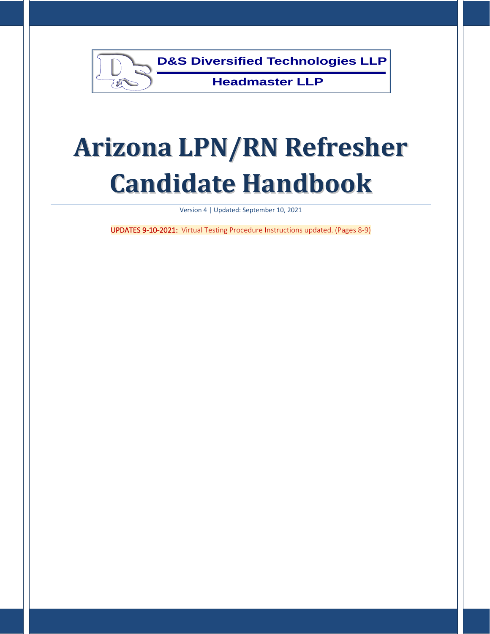

# **Arizona LPN/RN Refresher Candidate Handbook**

Version 4 | Updated: September 10, 2021

UPDATES 9-10-2021: Virtual Testing Procedure Instructions updated. (Pages 8-9)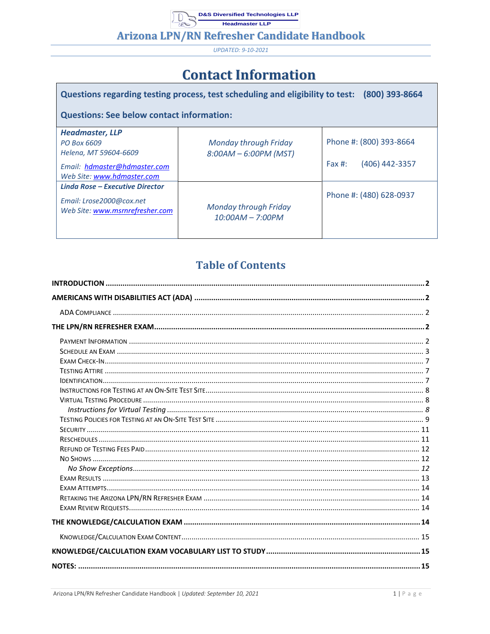**Arizona LPN/RN Refresher Candidate Handbook** 

UPDATED: 9-10-2021

# **Contact Information**

| Questions regarding testing process, test scheduling and eligibility to test:<br>(800) 393-8664                              |                                                    |                                                        |  |  |  |  |  |  |  |
|------------------------------------------------------------------------------------------------------------------------------|----------------------------------------------------|--------------------------------------------------------|--|--|--|--|--|--|--|
| <b>Questions: See below contact information:</b>                                                                             |                                                    |                                                        |  |  |  |  |  |  |  |
| <b>Headmaster, LLP</b><br>PO Box 6609<br>Helena, MT 59604-6609<br>Email: hdmaster@hdmaster.com<br>Web Site: www.hdmaster.com | Monday through Friday<br>$8:00AM - 6:00PM$ (MST)   | Phone #: (800) 393-8664<br>(406) 442-3357<br>Fax $#$ : |  |  |  |  |  |  |  |
| <b>Linda Rose - Executive Director</b><br>Email: Lrose2000@cox.net<br>Web Site: www.msrnrefresher.com                        | <b>Monday through Friday</b><br>$10:00AM - 7:00PM$ | Phone #: (480) 628-0937                                |  |  |  |  |  |  |  |

# **Table of Contents**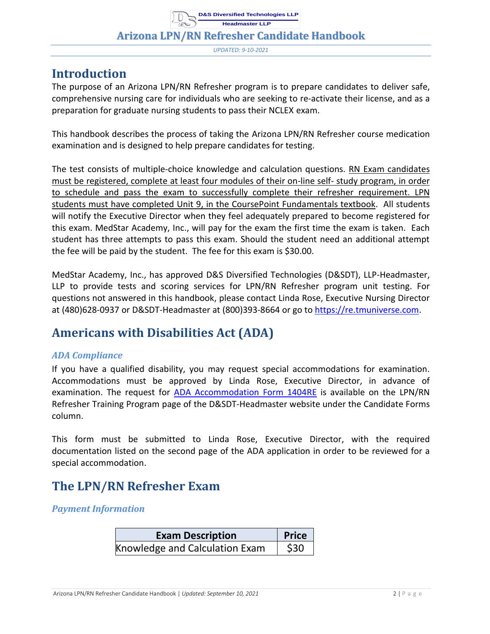**Arizona LPN/RN Refresher Candidate Handbook**

*UPDATED: 9-10-2021*

## <span id="page-2-0"></span>**Introduction**

The purpose of an Arizona LPN/RN Refresher program is to prepare candidates to deliver safe, comprehensive nursing care for individuals who are seeking to re-activate their license, and as a preparation for graduate nursing students to pass their NCLEX exam.

This handbook describes the process of taking the Arizona LPN/RN Refresher course medication examination and is designed to help prepare candidates for testing.

The test consists of multiple-choice knowledge and calculation questions. RN Exam candidates must be registered, complete at least four modules of their on-line self- study program, in order to schedule and pass the exam to successfully complete their refresher requirement. LPN students must have completed Unit 9, in the CoursePoint Fundamentals textbook. All students will notify the Executive Director when they feel adequately prepared to become registered for this exam. MedStar Academy, Inc., will pay for the exam the first time the exam is taken. Each student has three attempts to pass this exam. Should the student need an additional attempt the fee will be paid by the student. The fee for this exam is \$30.00.

MedStar Academy, Inc., has approved D&S Diversified Technologies (D&SDT), LLP-Headmaster, LLP to provide tests and scoring services for LPN/RN Refresher program unit testing. For questions not answered in this handbook, please contact Linda Rose, Executive Nursing Director at (480)628-0937 or D&SDT-Headmaster at (800)393-8664 or go to [https://re.tmuniverse.com.](https://re.tmuniverse.com/)

# <span id="page-2-1"></span>**Americans with Disabilities Act (ADA)**

#### <span id="page-2-2"></span>*ADA Compliance*

If you have a qualified disability, you may request special accommodations for examination. Accommodations must be approved by Linda Rose, Executive Director, in advance of examination. The request for [ADA Accommodation Form 1404RE](http://hdmaster.com/testing/othertesting/RE_SP/reformpages/reforms/1404RE.pdf) is available on the LPN/RN Refresher Training Program page of the D&SDT-Headmaster website under the Candidate Forms column.

This form must be submitted to Linda Rose, Executive Director, with the required documentation listed on the second page of the ADA application in order to be reviewed for a special accommodation.

# <span id="page-2-3"></span>**The LPN/RN Refresher Exam**

#### <span id="page-2-4"></span>*Payment Information*

| <b>Exam Description</b>        | <b>Price</b> |
|--------------------------------|--------------|
| Knowledge and Calculation Exam | \$30         |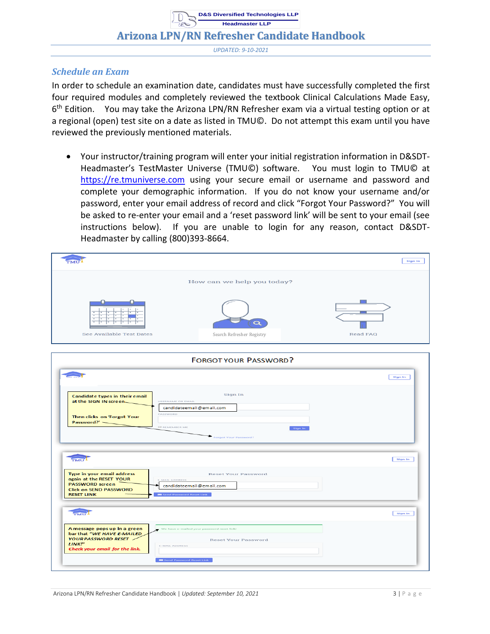**Headmaster LLP Arizona LPN/RN Refresher Candidate Handbook**

**D&S Diversified Technologies LLP**

*UPDATED: 9-10-2021*

#### <span id="page-3-0"></span>*Schedule an Exam*

In order to schedule an examination date, candidates must have successfully completed the first four required modules and completely reviewed the textbook Clinical Calculations Made Easy, 6<sup>th</sup> Edition. You may take the Arizona LPN/RN Refresher exam via a virtual testing option or at a regional (open) test site on a date as listed in TMU©. Do not attempt this exam until you have reviewed the previously mentioned materials.

• Your instructor/training program will enter your initial registration information in D&SDT-Headmaster's TestMaster Universe (TMU©) software. You must login to TMU© at [https://re.tmuniverse.com](https://re.tmuniverse.com/) using your secure email or username and password and complete your demographic information. If you do not know your username and/or password, enter your email address of record and click "Forgot Your Password?" You will be asked to re-enter your email and a 'reset password link' will be sent to your email (see instructions below). If you are unable to login for any reason, contact D&SDT-Headmaster by calling (800)393-8664.

| <b>PRATT</b>                                                                                                                          |                                                                                                                                          | Sign In         |
|---------------------------------------------------------------------------------------------------------------------------------------|------------------------------------------------------------------------------------------------------------------------------------------|-----------------|
|                                                                                                                                       | How can we help you today?                                                                                                               |                 |
| See Available Test Dates                                                                                                              | $\bigcirc$<br>Search Refresher Registry                                                                                                  | <b>Read FAQ</b> |
|                                                                                                                                       | <b>FORGOT YOUR PASSWORD?</b>                                                                                                             |                 |
|                                                                                                                                       |                                                                                                                                          | <b>Sign In</b>  |
| Candidate types in their email<br>at the SIGN IN screen<br>Then clicks on 'Forgot Your<br>Password?' -                                | Sign In<br>USERNAME OR EMAIL<br>candidateemail@email.com<br>PASSWORD<br><b>ED REMEMBER ME</b><br><b>Sign In</b><br>Forgot Your Password? |                 |
| <b>TMU</b>                                                                                                                            |                                                                                                                                          | <b>Sign In</b>  |
| Type in your email address<br>again at the RESET YOUR<br><b>PASSWORD screen</b><br><b>Click on SEND PASSWORD</b><br><b>RESET LINK</b> | <b>Reset Your Password</b><br>MAIL ADDRESS<br>candidateemail@email.com<br>Send Password Reset Link                                       |                 |
| <b>TMU</b>                                                                                                                            |                                                                                                                                          | <b>Sign In</b>  |
| A message pops up in a green<br>bar that "WE HAVE E-MAILED<br>YOUR PASSWORD RESET /<br>LINKP<br>Check your email for the link.        | We have e-mailed your password reset link!<br><b>Reset Your Password</b><br><b>E-MAIL ADDRESS</b><br><b>IM</b> Send Password Reset Link  |                 |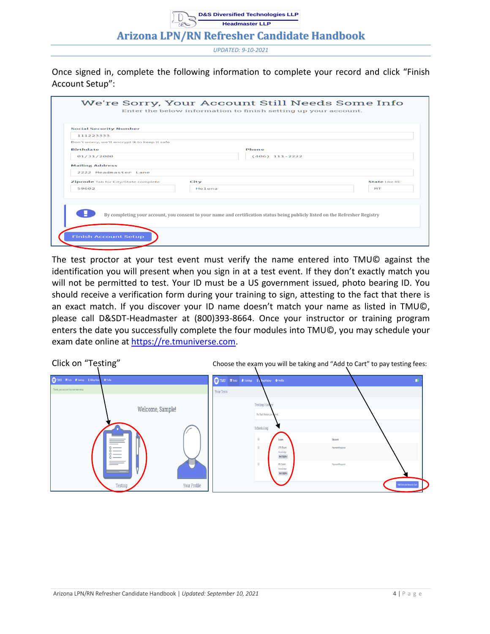#### **Headmaster LLP Arizona LPN/RN Refresher Candidate Handbook**

**D&S Diversified Technologies LLP**

*UPDATED: 9-10-2021*

Once signed in, complete the following information to complete your record and click "Finish Account Setup":

| Phone<br>$(406)$ 111-2222 |                      |
|---------------------------|----------------------|
|                           |                      |
|                           |                      |
|                           |                      |
|                           |                      |
|                           |                      |
|                           |                      |
|                           | <b>State like RE</b> |
| Helena                    | <b>MT</b>            |
|                           |                      |
|                           |                      |
|                           |                      |
|                           |                      |

The test proctor at your test event must verify the name entered into TMU© against the identification you will present when you sign in at a test event. If they don't exactly match you will not be permitted to test. Your ID must be a US government issued, photo bearing ID. You should receive a verification form during your training to sign, attesting to the fact that there is an exact match. If you discover your ID name doesn't match your name as listed in TMU©, please call D&SDT-Headmaster at (800)393-8664. Once your instructor or training program enters the date you successfully complete the four modules into TMU©, you may schedule your exam date online at [https://re.tmuniverse.com.](https://re.tmuniverse.com/)

| Click on "Testing"                                                                                            |                                                                                                                                                                                                                     | Choose the exam you will be taking and "Add to Cart" to pay testing fees:                 |
|---------------------------------------------------------------------------------------------------------------|---------------------------------------------------------------------------------------------------------------------------------------------------------------------------------------------------------------------|-------------------------------------------------------------------------------------------|
| TMU Miss # lairing \$ Bilingtians<br>$0$ Profile                                                              | TMU Elests Pitainings \$ Ming History O Profile                                                                                                                                                                     | <b>NI</b>                                                                                 |
| Thanks, your account has now been setup.<br>Welcome, Sample!<br>$\circ$ —<br>e e c<br>Your Profile<br>Testing | <b>Your Tests</b><br><b>Testing Hist</b><br>No Test History on record<br>Scheduling<br>$\Box$<br>Exam<br>$\Box$<br><b>LPN Exam</b><br>Knowledge<br>NotEigible<br>$\Box$<br><b>RN Exam</b><br>Knowledge<br>NotEighie | Reason<br><b>Payment Required</b><br><b>Payment Required</b><br>Add Selected Items to Can |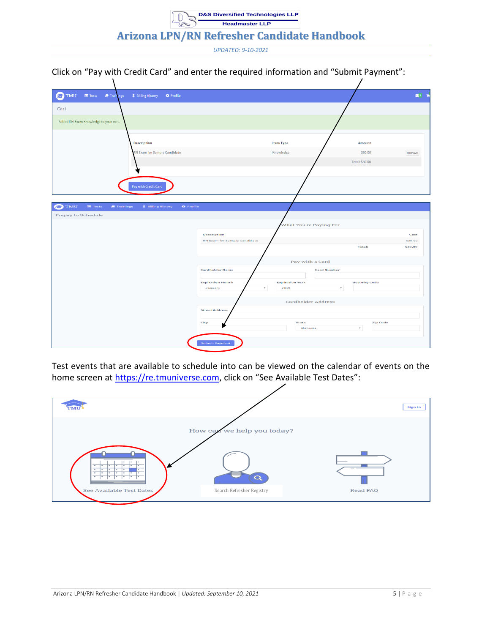Click on "Pay with Credit Card" and enter the required information and "Submit Payment":

| $\blacksquare$ Tests<br>Trainings<br>TMU<br>\$ Billing History<br><b>O</b> Profile<br>r   |                                     |                           |                      | 图1 管               |
|-------------------------------------------------------------------------------------------|-------------------------------------|---------------------------|----------------------|--------------------|
| Cart                                                                                      |                                     |                           |                      |                    |
| Added RN Exam Knowledge to your cart.                                                     |                                     |                           |                      |                    |
| <b>Description</b>                                                                        |                                     | <b>Item Type</b>          | <b>Amount</b>        |                    |
| RN Exam for Sample Candidate                                                              |                                     | Knowledge                 | \$30.00              | Remove             |
|                                                                                           |                                     |                           | Total: \$30.00       |                    |
|                                                                                           |                                     |                           |                      |                    |
| Pay with Credit Card                                                                      |                                     |                           |                      |                    |
|                                                                                           |                                     |                           |                      |                    |
| <b>TMU</b><br><b>mm</b> Tests<br>Trainings<br>\$ Billing History<br><b>O</b> Profile<br>E |                                     |                           |                      |                    |
| Prepay to Schedule                                                                        |                                     |                           |                      |                    |
|                                                                                           |                                     | What You're Paying For    |                      |                    |
|                                                                                           | Description                         |                           |                      | Cost               |
|                                                                                           | <b>RN Exam for Sample Candidate</b> |                           | <b>Total:</b>        | \$30.00<br>\$30.00 |
|                                                                                           |                                     |                           |                      |                    |
|                                                                                           |                                     | Pay with a Card           |                      |                    |
|                                                                                           | <b>Cardholder Name</b>              |                           | <b>Card Number</b>   |                    |
|                                                                                           | <b>Expiration Month</b>             | <b>Expiration Year</b>    | <b>Security Code</b> |                    |
|                                                                                           | January<br>$\mathbf{v}$             | 2019                      | $\scriptstyle\rm v$  |                    |
|                                                                                           |                                     | <b>Cardholder Address</b> |                      |                    |
|                                                                                           | <b>Street Address</b>               |                           |                      |                    |
|                                                                                           | City                                | <b>State</b>              | <b>Zip Code</b>      |                    |
|                                                                                           |                                     | Alabama                   | $\star$              |                    |
|                                                                                           |                                     |                           |                      |                    |
|                                                                                           | <b>Submit Payment</b>               |                           |                      |                    |

Test events that are available to schedule into can be viewed on the calendar of events on the home screen at [https://re.tmuniverse.com](https://re.tmuniverse.com/), click on "See Available Test Dates":

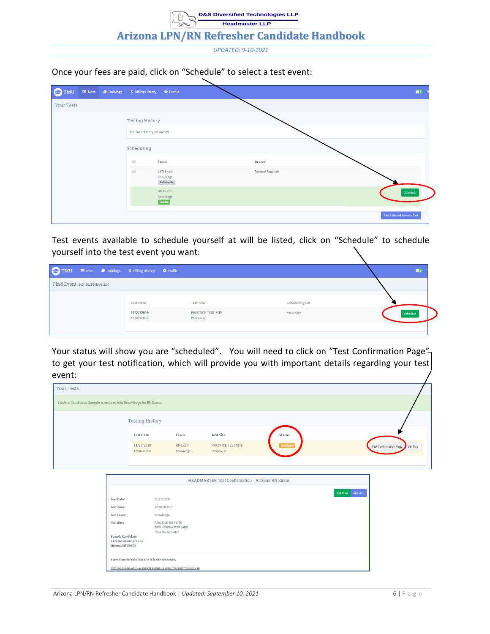#### Once your fees are paid, click on "Schedule" to select a test event:

| <b>O</b> TMU      |  | Tests <i>D</i> Trainings \$ Billing History <b>*</b> Profile     |                                                     | $\mathbb{Z}^1$             |
|-------------------|--|------------------------------------------------------------------|-----------------------------------------------------|----------------------------|
| <b>Your Tests</b> |  |                                                                  |                                                     |                            |
|                   |  | <b>Testing History</b>                                           |                                                     |                            |
|                   |  | No Test History on record.                                       |                                                     |                            |
|                   |  | Scheduling                                                       |                                                     |                            |
|                   |  | $\Box$                                                           | Exam                                                | Reason                     |
|                   |  | $\qquad \qquad \qquad \qquad \qquad \qquad \qquad \qquad \qquad$ | <b>LPN Exam</b><br>Knowledge<br><b>Not Eligible</b> | <b>Payment Required</b>    |
|                   |  |                                                                  | RN Exam<br>Knowledge<br>Eligible                    | Schedule                   |
|                   |  |                                                                  |                                                     | Add Selected Items to Cart |

Test events available to schedule yourself at will be listed, click on "Schedule" to schedule yourself into the test event you want:

|                         |  | TMU El Tests Al Trainings S Billing History & Profile |                                          |                       |  |          |
|-------------------------|--|-------------------------------------------------------|------------------------------------------|-----------------------|--|----------|
| Find Event RN REFRESHER |  |                                                       |                                          |                       |  |          |
|                         |  | <b>Test Date</b>                                      | <b>Test Site</b>                         | <b>Scheduling For</b> |  |          |
|                         |  | 11/27/2019<br>12:00 PM MST                            | <b>PRACTICE TEST SITE</b><br>Phoenix, AZ | Knowledge             |  | Schedule |
|                         |  |                                                       |                                          |                       |  |          |

Your status will show you are "scheduled". You will need to click on "Test Confirmation Page"to get your test notification, which will provide you with important details regarding your test event:

| <b>Your Tests</b>                                               |                                                                                                               |                            |                                                                 |                                          |               |                                   |
|-----------------------------------------------------------------|---------------------------------------------------------------------------------------------------------------|----------------------------|-----------------------------------------------------------------|------------------------------------------|---------------|-----------------------------------|
| Student Candidate, Sample scheduled into Knowledge for RN Exam. |                                                                                                               |                            |                                                                 |                                          |               |                                   |
|                                                                 |                                                                                                               | <b>Testing History</b>     |                                                                 |                                          |               |                                   |
|                                                                 |                                                                                                               | <b>Test Date</b>           | Exam                                                            | <b>Test Site</b>                         | <b>Status</b> |                                   |
|                                                                 |                                                                                                               | 11/27/2019<br>12:00 PM MST | <b>RN</b> Exam<br>Knowledge                                     | <b>PRACTICE TEST SITE</b><br>Phoenix, AZ | Scheduled     | Get Map<br>Test Confirmation Page |
|                                                                 |                                                                                                               |                            |                                                                 |                                          |               |                                   |
|                                                                 |                                                                                                               |                            |                                                                 |                                          |               |                                   |
|                                                                 |                                                                                                               |                            |                                                                 |                                          |               | $\bigoplus$ Print<br>Get Map      |
|                                                                 | <b>Test Date:</b>                                                                                             | 11/27/2019                 |                                                                 |                                          |               |                                   |
|                                                                 | <b>Test Time:</b>                                                                                             |                            | 12:00 PM MST                                                    |                                          |               |                                   |
|                                                                 | <b>Test Exam:</b><br><b>Test Site:</b><br><b>Sample Candidate</b><br>2222 Headmaster Lane<br>Helena, MT 59602 | Knowledge                  | PRACTICE TEST SITE<br>2000 HEADMASTER LANE<br>Phoenix, AZ 85007 |                                          |               |                                   |
|                                                                 |                                                                                                               |                            |                                                                 |                                          |               |                                   |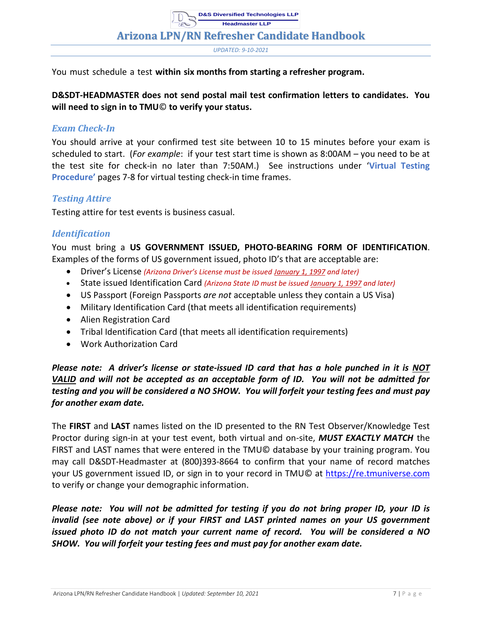*UPDATED: 9-10-2021*

You must schedule a test **within six months from starting a refresher program.**

**D&SDT-HEADMASTER does not send postal mail test confirmation letters to candidates. You will need to sign in to TMU**© **to verify your status.**

#### <span id="page-7-0"></span>*Exam Check-In*

You should arrive at your confirmed test site between 10 to 15 minutes before your exam is scheduled to start. (*For example*: if your test start time is shown as 8:00AM – you need to be at the test site for check-in no later than 7:50AM.) See instructions under '**Virtual Testing Procedure'** pages 7-8 for virtual testing check-in time frames.

#### <span id="page-7-1"></span>*Testing Attire*

Testing attire for test events is business casual.

#### <span id="page-7-2"></span>*Identification*

You must bring a **US GOVERNMENT ISSUED, PHOTO-BEARING FORM OF IDENTIFICATION**. Examples of the forms of US government issued, photo ID's that are acceptable are:

- Driver's License *(Arizona Driver's License must be issued January 1, 1997 and later)*
- State issued Identification Card *(Arizona State ID must be issued January 1, 1997 and later)*
- US Passport (Foreign Passports *are not* acceptable unless they contain a US Visa)
- Military Identification Card (that meets all identification requirements)
- Alien Registration Card
- Tribal Identification Card (that meets all identification requirements)
- Work Authorization Card

#### *Please note: A driver's license or state-issued ID card that has a hole punched in it is NOT VALID and will not be accepted as an acceptable form of ID. You will not be admitted for testing and you will be considered a NO SHOW. You will forfeit your testing fees and must pay for another exam date.*

The **FIRST** and **LAST** names listed on the ID presented to the RN Test Observer/Knowledge Test Proctor during sign-in at your test event, both virtual and on-site, *MUST EXACTLY MATCH* the FIRST and LAST names that were entered in the TMU© database by your training program. You may call D&SDT-Headmaster at (800)393-8664 to confirm that your name of record matches your US government issued ID, or sign in to your record in TMU© at [https://re.tmuniverse.com](https://re.tmuniverse.com/) to verify or change your demographic information.

*Please note: You will not be admitted for testing if you do not bring proper ID, your ID is invalid (see note above) or if your FIRST and LAST printed names on your US government issued photo ID do not match your current name of record. You will be considered a NO SHOW. You will forfeit your testing fees and must pay for another exam date.*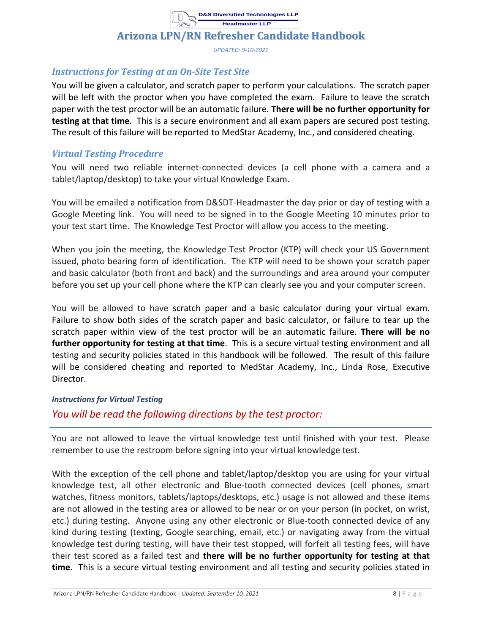#### **Arizona LPN/RN Refresher Candidate Handbook**

*UPDATED: 9-10-2021*

#### <span id="page-8-0"></span>*Instructions for Testing at an On-Site Test Site*

You will be given a calculator, and scratch paper to perform your calculations. The scratch paper will be left with the proctor when you have completed the exam. Failure to leave the scratch paper with the test proctor will be an automatic failure. **There will be no further opportunity for testing at that time**. This is a secure environment and all exam papers are secured post testing. The result of this failure will be reported to MedStar Academy, Inc., and considered cheating.

#### <span id="page-8-1"></span>*Virtual Testing Procedure*

You will need two reliable internet-connected devices (a cell phone with a camera and a tablet/laptop/desktop) to take your virtual Knowledge Exam.

You will be emailed a notification from D&SDT-Headmaster the day prior or day of testing with a Google Meeting link. You will need to be signed in to the Google Meeting 10 minutes prior to your test start time. The Knowledge Test Proctor will allow you access to the meeting.

When you join the meeting, the Knowledge Test Proctor (KTP) will check your US Government issued, photo bearing form of identification. The KTP will need to be shown your scratch paper and basic calculator (both front and back) and the surroundings and area around your computer before you set up your cell phone where the KTP can clearly see you and your computer screen.

You will be allowed to have scratch paper and a basic calculator during your virtual exam. Failure to show both sides of the scratch paper and basic calculator, or failure to tear up the scratch paper within view of the test proctor will be an automatic failure. **There will be no further opportunity for testing at that time**. This is a secure virtual testing environment and all testing and security policies stated in this handbook will be followed. The result of this failure will be considered cheating and reported to MedStar Academy, Inc., Linda Rose, Executive Director.

#### <span id="page-8-2"></span>*Instructions for Virtual Testing*

#### *You will be read the following directions by the test proctor:*

You are not allowed to leave the virtual knowledge test until finished with your test. Please remember to use the restroom before signing into your virtual knowledge test.

With the exception of the cell phone and tablet/laptop/desktop you are using for your virtual knowledge test, all other electronic and Blue-tooth connected devices (cell phones, smart watches, fitness monitors, tablets/laptops/desktops, etc.) usage is not allowed and these items are not allowed in the testing area or allowed to be near or on your person (in pocket, on wrist, etc.) during testing. Anyone using any other electronic or Blue-tooth connected device of any kind during testing (texting, Google searching, email, etc.) or navigating away from the virtual knowledge test during testing, will have their test stopped, will forfeit all testing fees, will have their test scored as a failed test and **there will be no further opportunity for testing at that time**. This is a secure virtual testing environment and all testing and security policies stated in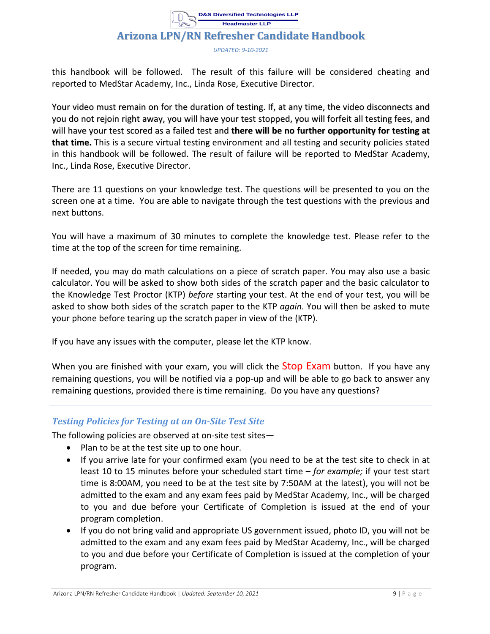#### **Arizona LPN/RN Refresher Candidate Handbook**

*UPDATED: 9-10-2021*

this handbook will be followed. The result of this failure will be considered cheating and reported to MedStar Academy, Inc., Linda Rose, Executive Director.

Your video must remain on for the duration of testing. If, at any time, the video disconnects and you do not rejoin right away, you will have your test stopped, you will forfeit all testing fees, and will have your test scored as a failed test and **there will be no further opportunity for testing at that time.** This is a secure virtual testing environment and all testing and security policies stated in this handbook will be followed. The result of failure will be reported to MedStar Academy, Inc., Linda Rose, Executive Director.

There are 11 questions on your knowledge test. The questions will be presented to you on the screen one at a time. You are able to navigate through the test questions with the previous and next buttons.

You will have a maximum of 30 minutes to complete the knowledge test. Please refer to the time at the top of the screen for time remaining.

If needed, you may do math calculations on a piece of scratch paper. You may also use a basic calculator. You will be asked to show both sides of the scratch paper and the basic calculator to the Knowledge Test Proctor (KTP) *before* starting your test. At the end of your test, you will be asked to show both sides of the scratch paper to the KTP *again*. You will then be asked to mute your phone before tearing up the scratch paper in view of the (KTP).

If you have any issues with the computer, please let the KTP know.

When you are finished with your exam, you will click the Stop Exam button. If you have any remaining questions, you will be notified via a pop-up and will be able to go back to answer any remaining questions, provided there is time remaining. Do you have any questions?

#### <span id="page-9-0"></span>*Testing Policies for Testing at an On-Site Test Site*

The following policies are observed at on-site test sites—

- Plan to be at the test site up to one hour.
- If you arrive late for your confirmed exam (you need to be at the test site to check in at least 10 to 15 minutes before your scheduled start time – *for example;* if your test start time is 8:00AM, you need to be at the test site by 7:50AM at the latest), you will not be admitted to the exam and any exam fees paid by MedStar Academy, Inc., will be charged to you and due before your Certificate of Completion is issued at the end of your program completion.
- If you do not bring valid and appropriate US government issued, photo ID, you will not be admitted to the exam and any exam fees paid by MedStar Academy, Inc., will be charged to you and due before your Certificate of Completion is issued at the completion of your program.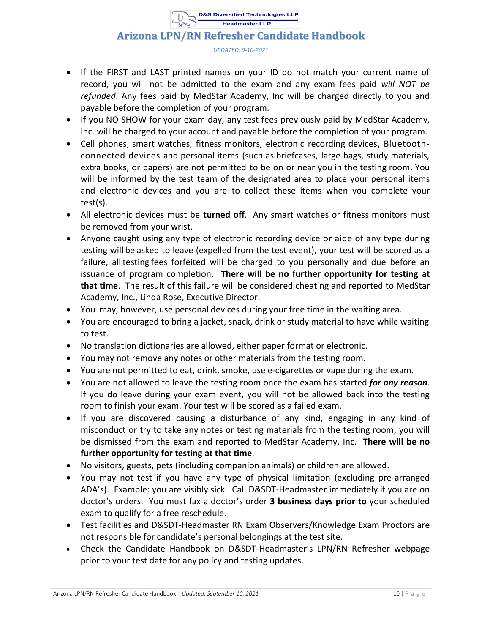#### **Arizona LPN/RN Refresher Candidate Handbook**

*UPDATED: 9-10-2021*

- If the FIRST and LAST printed names on your ID do not match your current name of record, you will not be admitted to the exam and any exam fees paid *will NOT be refunded*. Any fees paid by MedStar Academy, Inc will be charged directly to you and payable before the completion of your program.
- If you NO SHOW for your exam day, any test fees previously paid by MedStar Academy, Inc. will be charged to your account and payable before the completion of your program.
- Cell phones, smart watches, fitness monitors, electronic recording devices, Bluetoothconnected devices and personal items (such as briefcases, large bags, study materials, extra books, or papers) are not permitted to be on or near you in the testing room. You will be informed by the test team of the designated area to place your personal items and electronic devices and you are to collect these items when you complete your test(s).
- All electronic devices must be **turned off**. Any smart watches or fitness monitors must be removed from your wrist.
- Anyone caught using any type of electronic recording device or aide of any type during testing will be asked to leave (expelled from the test event), your test will be scored as a failure, all testing fees forfeited will be charged to you personally and due before an issuance of program completion. **There will be no further opportunity for testing at that time**. The result of this failure will be considered cheating and reported to MedStar Academy, Inc., Linda Rose, Executive Director.
- You may, however, use personal devices during your free time in the waiting area.
- You are encouraged to bring a jacket, snack, drink or study material to have while waiting to test.
- No translation dictionaries are allowed, either paper format or electronic.
- You may not remove any notes or other materials from the testing room.
- You are not permitted to eat, drink, smoke, use e-cigarettes or vape during the exam.
- You are not allowed to leave the testing room once the exam has started *for any reason*. If you do leave during your exam event, you will not be allowed back into the testing room to finish your exam. Your test will be scored as a failed exam.
- If you are discovered causing a disturbance of any kind, engaging in any kind of misconduct or try to take any notes or testing materials from the testing room, you will be dismissed from the exam and reported to MedStar Academy, Inc. **There will be no further opportunity for testing at that time**.
- No visitors, guests, pets (including companion animals) or children are allowed.
- You may not test if you have any type of physical limitation (excluding pre-arranged ADA's). Example: you are visibly sick. Call D&SDT-Headmaster immediately if you are on doctor's orders. You must fax a doctor's order **3 business days prior to** your scheduled exam to qualify for a free reschedule.
- Test facilities and D&SDT-Headmaster RN Exam Observers/Knowledge Exam Proctors are not responsible for candidate's personal belongings at the test site.
- Check the Candidate Handbook on D&SDT-Headmaster's LPN/RN Refresher webpage prior to your test date for any policy and testing updates.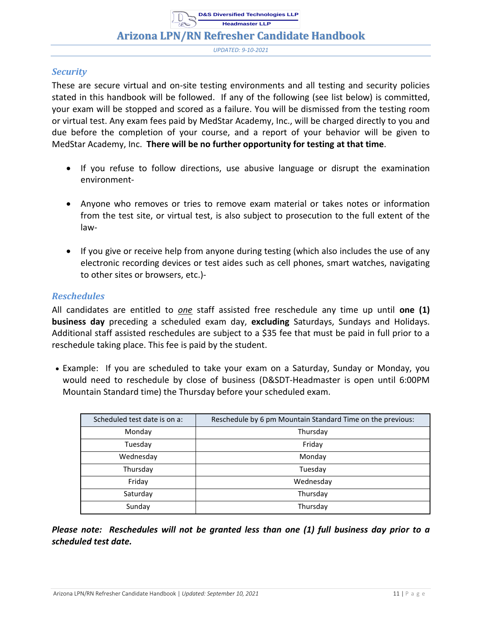#### **Arizona LPN/RN Refresher Candidate Handbook**

*UPDATED: 9-10-2021*

#### <span id="page-11-0"></span>*Security*

These are secure virtual and on-site testing environments and all testing and security policies stated in this handbook will be followed. If any of the following (see list below) is committed, your exam will be stopped and scored as a failure. You will be dismissed from the testing room or virtual test. Any exam fees paid by MedStar Academy, Inc., will be charged directly to you and due before the completion of your course, and a report of your behavior will be given to MedStar Academy, Inc. **There will be no further opportunity for testing at that time**.

- If you refuse to follow directions, use abusive language or disrupt the examination environment-
- Anyone who removes or tries to remove exam material or takes notes or information from the test site, or virtual test, is also subject to prosecution to the full extent of the law-
- If you give or receive help from anyone during testing (which also includes the use of any electronic recording devices or test aides such as cell phones, smart watches, navigating to other sites or browsers, etc.)-

#### <span id="page-11-1"></span>*Reschedules*

All candidates are entitled to *one* staff assisted free reschedule any time up until **one (1) business day** preceding a scheduled exam day, **excluding** Saturdays, Sundays and Holidays. Additional staff assisted reschedules are subject to a \$35 fee that must be paid in full prior to a reschedule taking place. This fee is paid by the student.

• Example: If you are scheduled to take your exam on a Saturday, Sunday or Monday, you would need to reschedule by close of business (D&SDT-Headmaster is open until 6:00PM Mountain Standard time) the Thursday before your scheduled exam.

| Scheduled test date is on a: | Reschedule by 6 pm Mountain Standard Time on the previous: |
|------------------------------|------------------------------------------------------------|
| Monday                       | Thursday                                                   |
| Tuesday                      | Friday                                                     |
| Wednesday                    | Monday                                                     |
| Thursday                     | Tuesday                                                    |
| Friday                       | Wednesday                                                  |
| Saturday                     | Thursday                                                   |
| Sunday                       | Thursday                                                   |

*Please note: Reschedules will not be granted less than one (1) full business day prior to a scheduled test date.*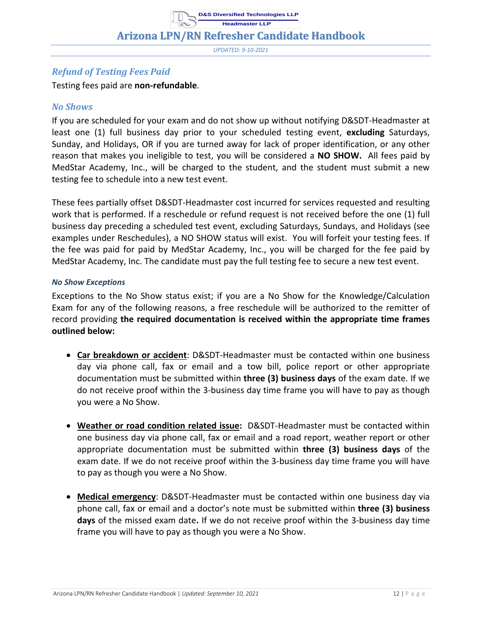*UPDATED: 9-10-2021*

#### <span id="page-12-0"></span>*Refund of Testing Fees Paid*

Testing fees paid are **non-refundable**.

#### <span id="page-12-1"></span>*No Shows*

If you are scheduled for your exam and do not show up without notifying D&SDT-Headmaster at least one (1) full business day prior to your scheduled testing event, **excluding** Saturdays, Sunday, and Holidays, OR if you are turned away for lack of proper identification, or any other reason that makes you ineligible to test, you will be considered a **NO SHOW.** All fees paid by MedStar Academy, Inc., will be charged to the student, and the student must submit a new testing fee to schedule into a new test event.

These fees partially offset D&SDT-Headmaster cost incurred for services requested and resulting work that is performed. If a reschedule or refund request is not received before the one (1) full business day preceding a scheduled test event, excluding Saturdays, Sundays, and Holidays (see examples under Reschedules), a NO SHOW status will exist. You will forfeit your testing fees. If the fee was paid for paid by MedStar Academy, Inc., you will be charged for the fee paid by MedStar Academy, Inc. The candidate must pay the full testing fee to secure a new test event.

#### <span id="page-12-2"></span>*No Show Exceptions*

Exceptions to the No Show status exist; if you are a No Show for the Knowledge/Calculation Exam for any of the following reasons, a free reschedule will be authorized to the remitter of record providing **the required documentation is received within the appropriate time frames outlined below:**

- **Car breakdown or accident**: D&SDT-Headmaster must be contacted within one business day via phone call, fax or email and a tow bill, police report or other appropriate documentation must be submitted within **three (3) business days** of the exam date. If we do not receive proof within the 3-business day time frame you will have to pay as though you were a No Show.
- **Weather or road condition related issue:** D&SDT-Headmaster must be contacted within one business day via phone call, fax or email and a road report, weather report or other appropriate documentation must be submitted within **three (3) business days** of the exam date. If we do not receive proof within the 3-business day time frame you will have to pay as though you were a No Show.
- **Medical emergency**: D&SDT-Headmaster must be contacted within one business day via phone call, fax or email and a doctor's note must be submitted within **three (3) business days** of the missed exam date**.** If we do not receive proof within the 3-business day time frame you will have to pay as though you were a No Show.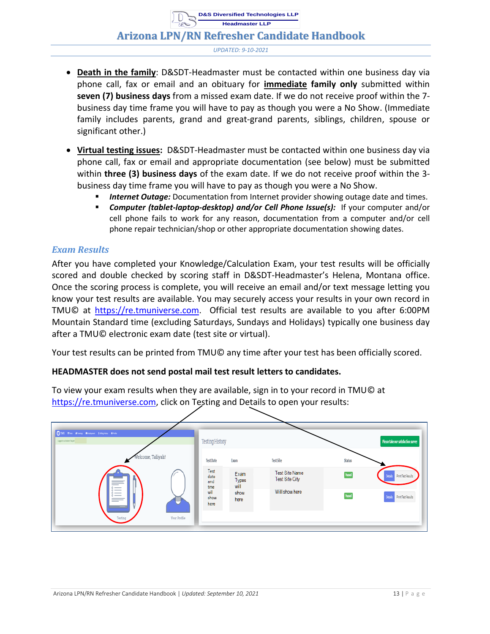#### **Arizona LPN/RN Refresher Candidate Handbook**

*UPDATED: 9-10-2021*

- **Death in the family**: D&SDT-Headmaster must be contacted within one business day via phone call, fax or email and an obituary for **immediate family only** submitted within **seven (7) business days** from a missed exam date. If we do not receive proof within the 7 business day time frame you will have to pay as though you were a No Show. (Immediate family includes parents, grand and great-grand parents, siblings, children, spouse or significant other.)
- **Virtual testing issues:** D&SDT-Headmaster must be contacted within one business day via phone call, fax or email and appropriate documentation (see below) must be submitted within **three (3) business days** of the exam date. If we do not receive proof within the 3 business day time frame you will have to pay as though you were a No Show.
	- **Internet Outage:** Documentation from Internet provider showing outage date and times.
	- *Computer (tablet-laptop-desktop) and/or Cell Phone Issue(s):* If your computer and/or cell phone fails to work for any reason, documentation from a computer and/or cell phone repair technician/shop or other appropriate documentation showing dates.

#### <span id="page-13-0"></span>*Exam Results*

After you have completed your Knowledge/Calculation Exam, your test results will be officially scored and double checked by scoring staff in D&SDT-Headmaster's Helena, Montana office. Once the scoring process is complete, you will receive an email and/or text message letting you know your test results are available. You may securely access your results in your own record in TMU© at https://re.tmuniverse.com. Official test results are available to you after 6:00PM Mountain Standard time (excluding Saturdays, Sundays and Holidays) typically one business day after a TMU© electronic exam date (test site or virtual).

Your test results can be printed from TMU© any time after your test has been officially scored.

#### **HEADMASTER does not send postal mail test result letters to candidates.**

To view your exam results when they are available, sign in to your record in TMU© at https://re.tmuniverse.com, click on Testing and Details to open your results:

| <b>OTMU film dinny dispose integrate arts</b><br>Ingeleachdet MyA: | <b>Testing History</b>      |                       |                                         |        | Please take our satisfaction survey |
|--------------------------------------------------------------------|-----------------------------|-----------------------|-----------------------------------------|--------|-------------------------------------|
| Welcome, Taliyah!                                                  | <b>Test Date</b>            | Exam                  | <b>Test Site</b>                        | Status |                                     |
| $=$<br>$\circ$ —                                                   | Test<br>date<br>and<br>time | Exam<br>Types<br>will | <b>Test Site Name</b><br>Test Site City |        | Details Print Test Results          |
| $\circ$ —<br>$\circ$ $\sim$<br>$\sim$ $-$<br>$=$                   | will<br>show<br>here        | show<br>here          | Will show here                          |        | Details Print Test Results          |
| Your Profile<br>Testing                                            |                             |                       |                                         |        |                                     |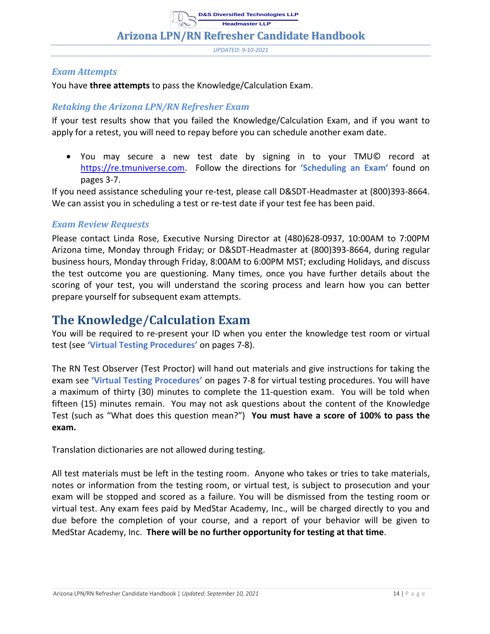*UPDATED: 9-10-2021*

#### <span id="page-14-0"></span>*Exam Attempts*

You have **three attempts** to pass the Knowledge/Calculation Exam.

#### <span id="page-14-1"></span>*Retaking the Arizona LPN/RN Refresher Exam*

If your test results show that you failed the Knowledge/Calculation Exam, and if you want to apply for a retest, you will need to repay before you can schedule another exam date.

• You may secure a new test date by signing in to your TMU© record at https://re.tmuniverse.com. Follow the directions for **'Scheduling an Exam'** found on pages 3-7.

If you need assistance scheduling your re-test, please call D&SDT-Headmaster at (800)393-8664. We can assist you in scheduling a test or re-test date if your test fee has been paid.

#### <span id="page-14-2"></span>*Exam Review Requests*

Please contact Linda Rose, Executive Nursing Director at (480)628-0937, 10:00AM to 7:00PM Arizona time, Monday through Friday; or D&SDT-Headmaster at (800)393-8664, during regular business hours, Monday through Friday, 8:00AM to 6:00PM MST; excluding Holidays, and discuss the test outcome you are questioning. Many times, once you have further details about the scoring of your test, you will understand the scoring process and learn how you can better prepare yourself for subsequent exam attempts.

### <span id="page-14-3"></span>**The Knowledge/Calculation Exam**

You will be required to re-present your ID when you enter the knowledge test room or virtual test (see **'Virtual Testing Procedures'** on pages 7-8).

The RN Test Observer (Test Proctor) will hand out materials and give instructions for taking the exam see **'Virtual Testing Procedures'** on pages 7-8 for virtual testing procedures. You will have a maximum of thirty (30) minutes to complete the 11-question exam. You will be told when fifteen (15) minutes remain. You may not ask questions about the content of the Knowledge Test (such as "What does this question mean?") **You must have a score of 100% to pass the exam.**

Translation dictionaries are not allowed during testing.

All test materials must be left in the testing room. Anyone who takes or tries to take materials, notes or information from the testing room, or virtual test, is subject to prosecution and your exam will be stopped and scored as a failure. You will be dismissed from the testing room or virtual test. Any exam fees paid by MedStar Academy, Inc., will be charged directly to you and due before the completion of your course, and a report of your behavior will be given to MedStar Academy, Inc. **There will be no further opportunity for testing at that time**.